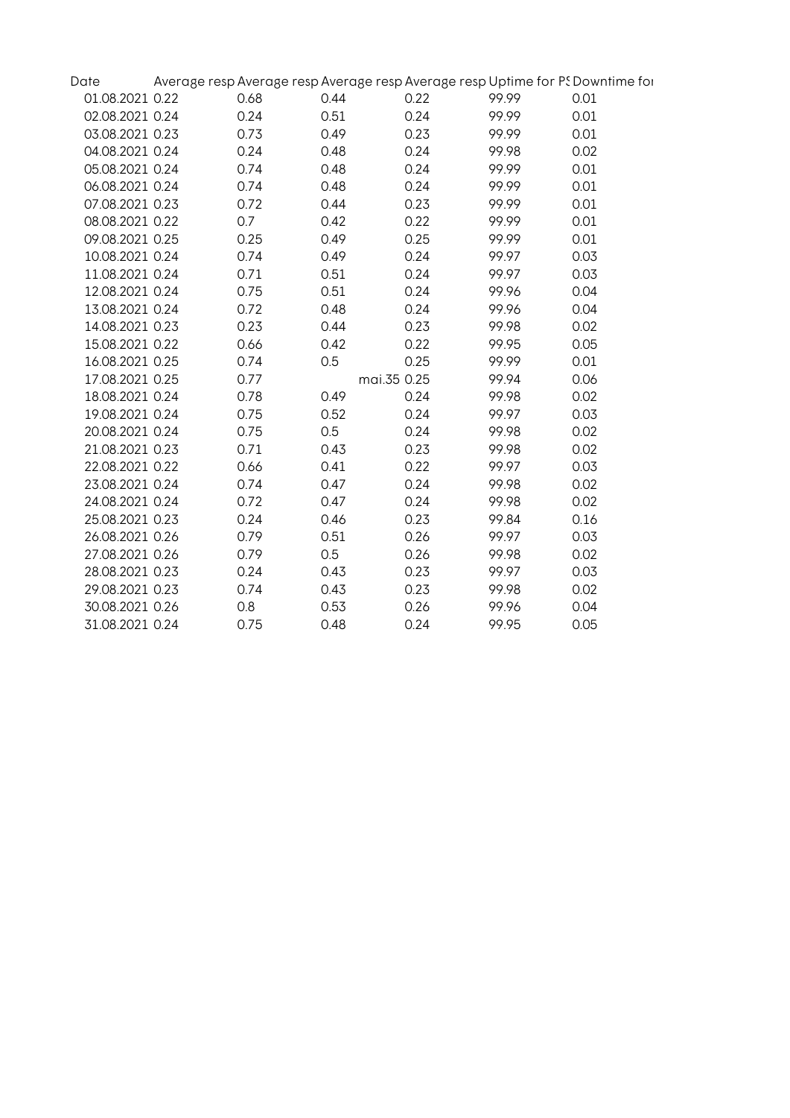| Date            |      |             |      |       | Average resp Average resp Average resp Average resp Uptime for PS Downtime for |
|-----------------|------|-------------|------|-------|--------------------------------------------------------------------------------|
| 01.08.2021 0.22 | 0.68 | 0.44        | 0.22 | 99.99 | 0.01                                                                           |
| 02.08.2021 0.24 | 0.24 | 0.51        | 0.24 | 99.99 | 0.01                                                                           |
| 03.08.2021 0.23 | 0.73 | 0.49        | 0.23 | 99.99 | 0.01                                                                           |
| 04.08.2021 0.24 | 0.24 | 0.48        | 0.24 | 99.98 | 0.02                                                                           |
| 05.08.2021 0.24 | 0.74 | 0.48        | 0.24 | 99.99 | 0.01                                                                           |
| 06.08.2021 0.24 | 0.74 | 0.48        | 0.24 | 99.99 | 0.01                                                                           |
| 07.08.2021 0.23 | 0.72 | 0.44        | 0.23 | 99.99 | 0.01                                                                           |
| 08.08.2021 0.22 | 0.7  | 0.42        | 0.22 | 99.99 | 0.01                                                                           |
| 09.08.2021 0.25 | 0.25 | 0.49        | 0.25 | 99.99 | 0.01                                                                           |
| 10.08.2021 0.24 | 0.74 | 0.49        | 0.24 | 99.97 | 0.03                                                                           |
| 11.08.2021 0.24 | 0.71 | 0.51        | 0.24 | 99.97 | 0.03                                                                           |
| 12.08.2021 0.24 | 0.75 | 0.51        | 0.24 | 99.96 | 0.04                                                                           |
| 13.08.2021 0.24 | 0.72 | 0.48        | 0.24 | 99.96 | 0.04                                                                           |
| 14.08.2021 0.23 | 0.23 | 0.44        | 0.23 | 99.98 | 0.02                                                                           |
| 15.08.2021 0.22 | 0.66 | 0.42        | 0.22 | 99.95 | 0.05                                                                           |
| 16.08.2021 0.25 | 0.74 | 0.5         | 0.25 | 99.99 | 0.01                                                                           |
| 17.08.2021 0.25 | 0.77 | mai.35 0.25 |      | 99.94 | 0.06                                                                           |
| 18.08.2021 0.24 | 0.78 | 0.49        | 0.24 | 99.98 | 0.02                                                                           |
| 19.08.2021 0.24 | 0.75 | 0.52        | 0.24 | 99.97 | 0.03                                                                           |
| 20.08.2021 0.24 | 0.75 | 0.5         | 0.24 | 99.98 | 0.02                                                                           |
| 21.08.2021 0.23 | 0.71 | 0.43        | 0.23 | 99.98 | 0.02                                                                           |
| 22.08.2021 0.22 | 0.66 | 0.41        | 0.22 | 99.97 | 0.03                                                                           |
| 23.08.2021 0.24 | 0.74 | 0.47        | 0.24 | 99.98 | 0.02                                                                           |
| 24.08.2021 0.24 | 0.72 | 0.47        | 0.24 | 99.98 | 0.02                                                                           |
| 25.08.2021 0.23 | 0.24 | 0.46        | 0.23 | 99.84 | 0.16                                                                           |
| 26.08.2021 0.26 | 0.79 | 0.51        | 0.26 | 99.97 | 0.03                                                                           |
| 27.08.2021 0.26 | 0.79 | 0.5         | 0.26 | 99.98 | 0.02                                                                           |
| 28.08.2021 0.23 | 0.24 | 0.43        | 0.23 | 99.97 | 0.03                                                                           |
| 29.08.2021 0.23 | 0.74 | 0.43        | 0.23 | 99.98 | 0.02                                                                           |
| 30.08.2021 0.26 | 0.8  | 0.53        | 0.26 | 99.96 | 0.04                                                                           |
| 31.08.2021 0.24 | 0.75 | 0.48        | 0.24 | 99.95 | 0.05                                                                           |